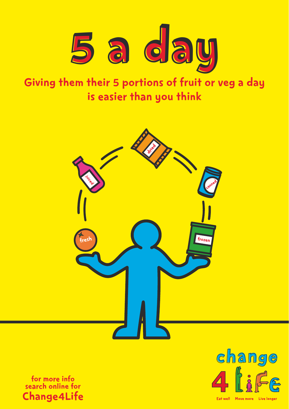

# Giving them their 5 portions of fruit or veg a day is easier than you think



for more info search online for Change4Life



Eat well Move more Live longer